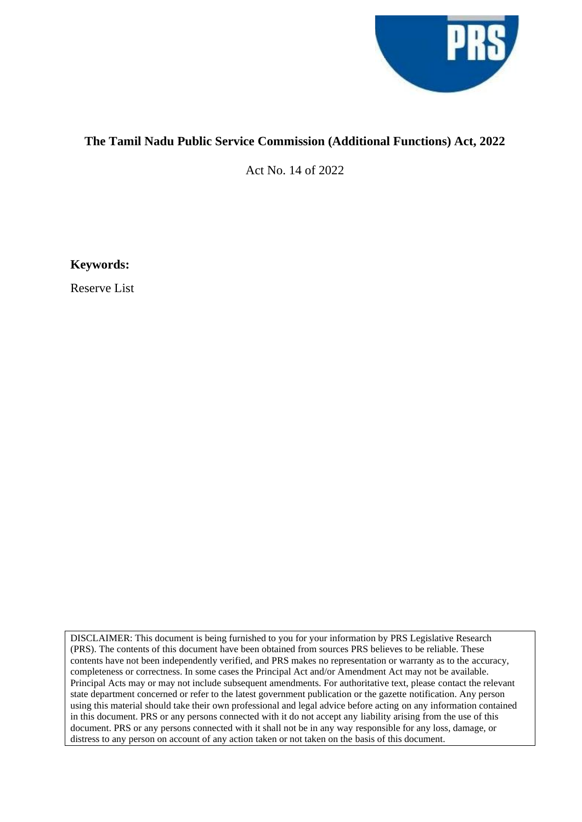

## **The Tamil Nadu Public Service Commission (Additional Functions) Act, 2022**

Act No. 14 of 2022

**Keywords:**

Reserve List

DISCLAIMER: This document is being furnished to you for your information by PRS Legislative Research (PRS). The contents of this document have been obtained from sources PRS believes to be reliable. These contents have not been independently verified, and PRS makes no representation or warranty as to the accuracy, completeness or correctness. In some cases the Principal Act and/or Amendment Act may not be available. Principal Acts may or may not include subsequent amendments. For authoritative text, please contact the relevant state department concerned or refer to the latest government publication or the gazette notification. Any person using this material should take their own professional and legal advice before acting on any information contained in this document. PRS or any persons connected with it do not accept any liability arising from the use of this document. PRS or any persons connected with it shall not be in any way responsible for any loss, damage, or distress to any person on account of any action taken or not taken on the basis of this document.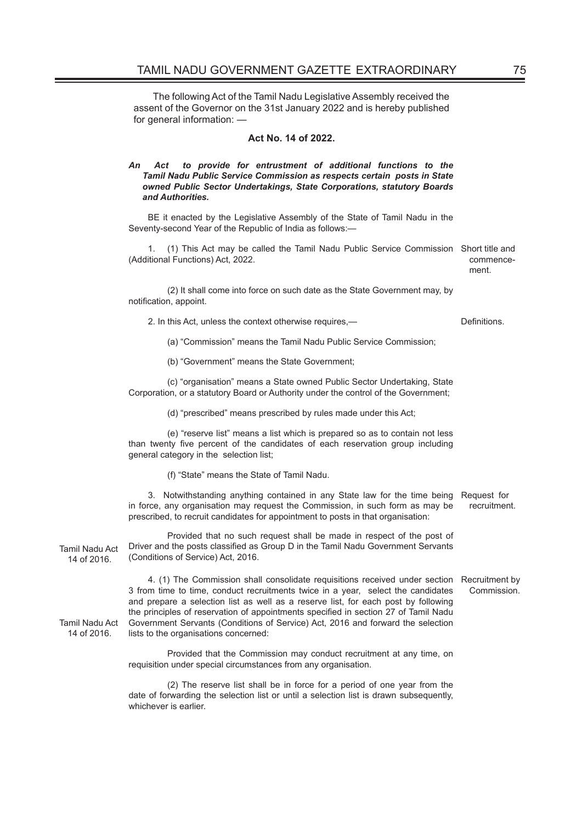The following Act of the Tamil Nadu Legislative Assembly received the assent of the Governor on the 31st January 2022 and is hereby published for general information: —

## **Act No. 14 of 2022.**

## *An Act to provide for entrustment of additional functions to the Tamil Nadu Public Service Commission as respects certain posts in State owned Public Sector Undertakings, State Corporations, statutory Boards and Authorities.*

BE it enacted by the Legislative Assembly of the State of Tamil Nadu in the Seventy-second Year of the Republic of India as follows:—

1. (1) This Act may be called the Tamil Nadu Public Service Commission Short title and (Additional Functions) Act, 2022. commence-

ment.

(2) It shall come into force on such date as the State Government may, by notification, appoint.

2. In this Act, unless the context otherwise requires,— Definitions.

(a) "Commission" means the Tamil Nadu Public Service Commission;

(b) "Government" means the State Government;

(c) "organisation" means a State owned Public Sector Undertaking, State Corporation, or a statutory Board or Authority under the control of the Government;

(d) "prescribed" means prescribed by rules made under this Act;

(e) "reserve list" means a list which is prepared so as to contain not less than twenty five percent of the candidates of each reservation group including general category in the selection list;

(f) "State" means the State of Tamil Nadu.

3. Notwithstanding anything contained in any State law for the time being Request for in force, any organisation may request the Commission, in such form as may be prescribed, to recruit candidates for appointment to posts in that organisation: recruitment.

Tamil Nadu Act 14 of 2016. Provided that no such request shall be made in respect of the post of Driver and the posts classified as Group D in the Tamil Nadu Government Servants (Conditions of Service) Act, 2016.

> 4. (1) The Commission shall consolidate requisitions received under section Recruitment by 3 from time to time, conduct recruitments twice in a year, select the candidates and prepare a selection list as well as a reserve list, for each post by following the principles of reservation of appointments specified in section 27 of Tamil Nadu Government Servants (Conditions of Service) Act, 2016 and forward the selection lists to the organisations concerned: Commission.

Provided that the Commission may conduct recruitment at any time, on requisition under special circumstances from any organisation.

(2) The reserve list shall be in force for a period of one year from the date of forwarding the selection list or until a selection list is drawn subsequently, whichever is earlier.

Tamil Nadu Act

14 of 2016.